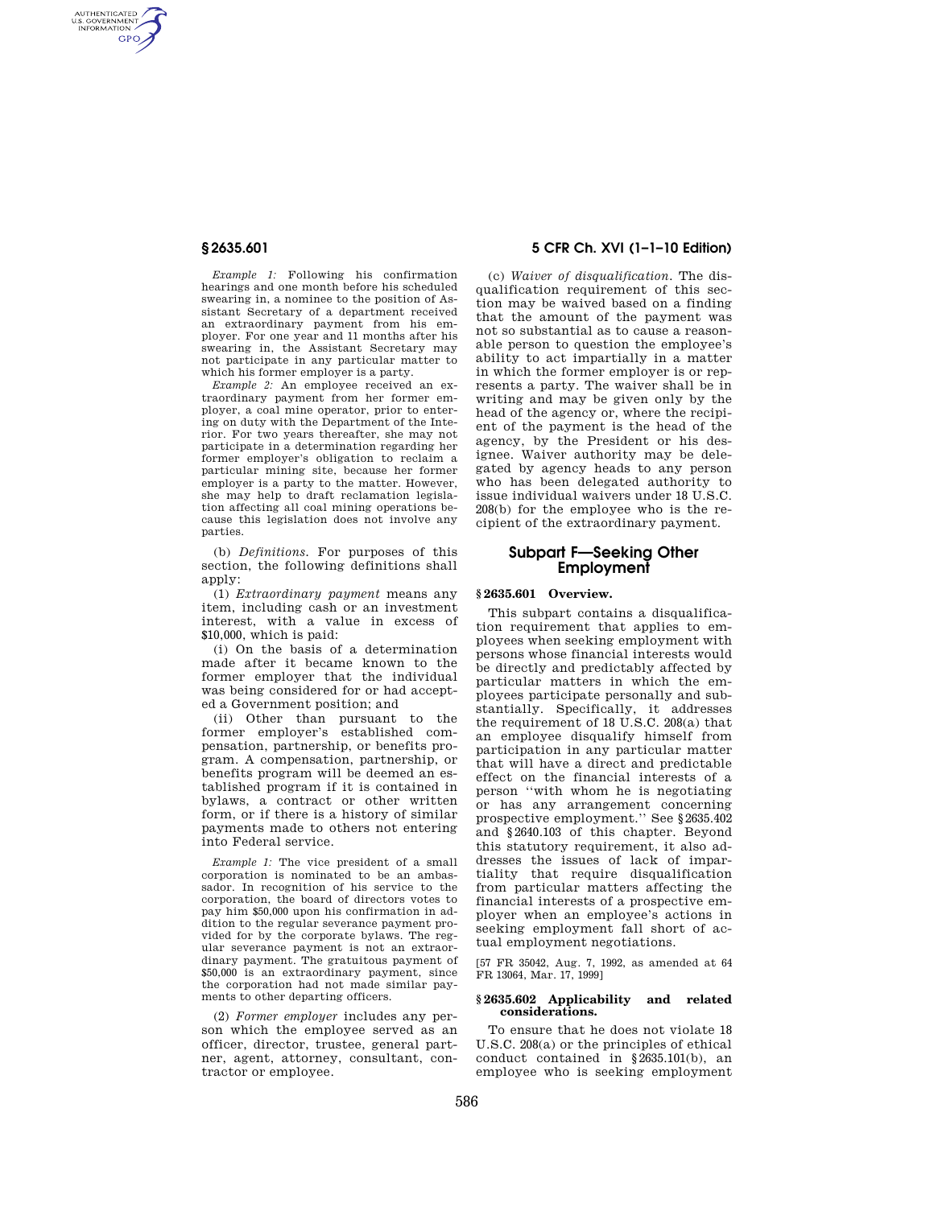AUTHENTICATED<br>U.S. GOVERNMENT<br>INFORMATION **GPO** 

> *Example 1:* Following his confirmation hearings and one month before his scheduled swearing in, a nominee to the position of Assistant Secretary of a department received an extraordinary payment from his employer. For one year and 11 months after his swearing in, the Assistant Secretary may not participate in any particular matter to which his former employer is a party.

> *Example 2:* An employee received an extraordinary payment from her former employer, a coal mine operator, prior to entering on duty with the Department of the Interior. For two years thereafter, she may not participate in a determination regarding her former employer's obligation to reclaim a particular mining site, because her former employer is a party to the matter. However, she may help to draft reclamation legislation affecting all coal mining operations because this legislation does not involve any parties.

> (b) *Definitions.* For purposes of this section, the following definitions shall apply:

(1) *Extraordinary payment* means any item, including cash or an investment interest, with a value in excess of \$10,000, which is paid:

(i) On the basis of a determination made after it became known to the former employer that the individual was being considered for or had accepted a Government position; and

(ii) Other than pursuant to the former employer's established compensation, partnership, or benefits program. A compensation, partnership, or benefits program will be deemed an established program if it is contained in bylaws, a contract or other written form, or if there is a history of similar payments made to others not entering into Federal service.

*Example 1:* The vice president of a small corporation is nominated to be an ambassador. In recognition of his service to the corporation, the board of directors votes to pay him \$50,000 upon his confirmation in addition to the regular severance payment provided for by the corporate bylaws. The regular severance payment is not an extraordinary payment. The gratuitous payment of \$50,000 is an extraordinary payment, since the corporation had not made similar payments to other departing officers.

(2) *Former employer* includes any person which the employee served as an officer, director, trustee, general partner, agent, attorney, consultant, contractor or employee.

# **§ 2635.601 5 CFR Ch. XVI (1–1–10 Edition)**

(c) *Waiver of disqualification.* The disqualification requirement of this section may be waived based on a finding that the amount of the payment was not so substantial as to cause a reasonable person to question the employee's ability to act impartially in a matter in which the former employer is or represents a party. The waiver shall be in writing and may be given only by the head of the agency or, where the recipient of the payment is the head of the agency, by the President or his designee. Waiver authority may be delegated by agency heads to any person who has been delegated authority to issue individual waivers under 18 U.S.C. 208(b) for the employee who is the recipient of the extraordinary payment.

# **Subpart F—Seeking Other Employment**

#### **§ 2635.601 Overview.**

This subpart contains a disqualification requirement that applies to employees when seeking employment with persons whose financial interests would be directly and predictably affected by particular matters in which the employees participate personally and substantially. Specifically, it addresses the requirement of 18 U.S.C. 208(a) that an employee disqualify himself from participation in any particular matter that will have a direct and predictable effect on the financial interests of a person ''with whom he is negotiating or has any arrangement concerning prospective employment.'' See §2635.402 and §2640.103 of this chapter. Beyond this statutory requirement, it also addresses the issues of lack of impartiality that require disqualification from particular matters affecting the financial interests of a prospective employer when an employee's actions in seeking employment fall short of actual employment negotiations.

[57 FR 35042, Aug. 7, 1992, as amended at 64 FR 13064, Mar. 17, 1999]

### **§ 2635.602 Applicability and related considerations.**

To ensure that he does not violate 18 U.S.C. 208(a) or the principles of ethical conduct contained in §2635.101(b), an employee who is seeking employment